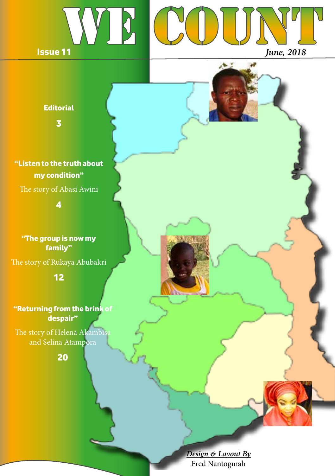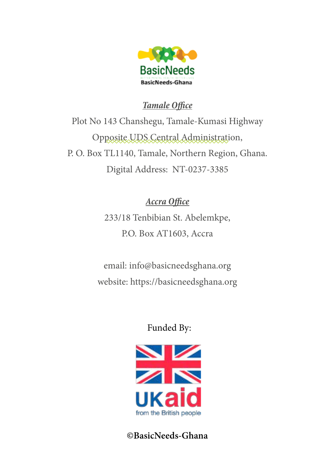

## *Tamale Office*

Plot No 143 Chanshegu, Tamale-Kumasi Highway Opposite UDS Central Administration, P. O. Box TL1140, Tamale, Northern Region, Ghana. Digital Address: NT-0237-3385

# *Accra Office*

233/18 Tenbibian St. Abelemkpe, P.O. Box AT1603, Accra

email: info@basicneedsghana.org website: https://basicneedsghana.org

## Funded By:



**©BasicNeeds-Ghana**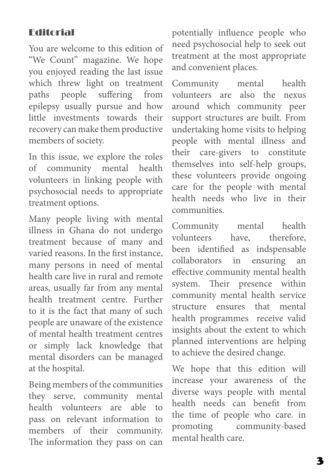## Editorial

You are welcome to this edition of "We Count" magazine. We hope you enjoyed reading the last issue which threw light on treatment paths people suffering from epilepsy usually pursue and how little investments towards their recovery can make them productive members of society.

In this issue, we explore the roles of community mental health volunteers in linking people with psychosocial needs to appropriate treatment options.

Many people living with mental illness in Ghana do not undergo treatment because of many and varied reasons. In the first instance, many persons in need of mental health care live in rural and remote areas, usually far from any mental health treatment centre. Further to it is the fact that many of such people are unaware of the existence of mental health treatment centres or simply lack knowledge that mental disorders can be managed at the hospital.

Being members of the communities they serve, community mental health volunteers are able to pass on relevant information to members of their community. The information they pass on can potentially influence people who need psychosocial help to seek out treatment at the most appropriate and convenient places.

Community mental health volunteers are also the nexus around which community peer support structures are built. From undertaking home visits to helping people with mental illness and their care-givers to constitute themselves into self-help groups, these volunteers provide ongoing care for the people with mental health needs who live in their communities.

Community mental health volunteers have, therefore, been identified as indspensable collaborators in ensuring an effective community mental health system. Their presence within community mental health service structure ensures that mental health programmes receive valid insights about the extent to which planned interventions are helping to achieve the desired change.

We hope that this edition will increase your awareness of the diverse ways people with mental health needs can benefit from the time of people who care. in promoting community-based mental health care.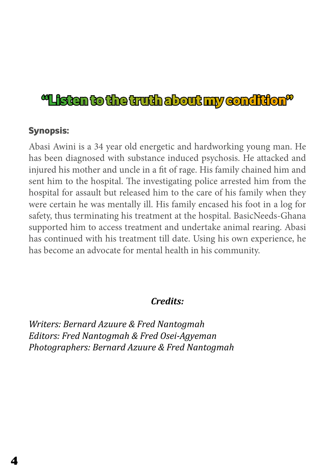# "Listen to the truth about my condition"

#### Synopsis:

Abasi Awini is a 34 year old energetic and hardworking young man. He has been diagnosed with substance induced psychosis. He attacked and injured his mother and uncle in a fit of rage. His family chained him and sent him to the hospital. The investigating police arrested him from the hospital for assault but released him to the care of his family when they were certain he was mentally ill. His family encased his foot in a log for safety, thus terminating his treatment at the hospital. BasicNeeds-Ghana supported him to access treatment and undertake animal rearing. Abasi has continued with his treatment till date. Using his own experience, he has become an advocate for mental health in his community.

#### *Credits:*

*Writers: Bernard Azuure & Fred Nantogmah Editors: Fred Nantogmah & Fred Osei-Agyeman Photographers: Bernard Azuure & Fred Nantogmah*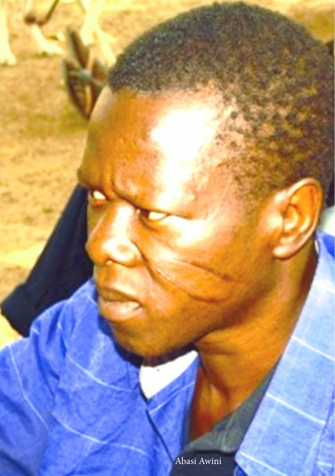Abasi Awini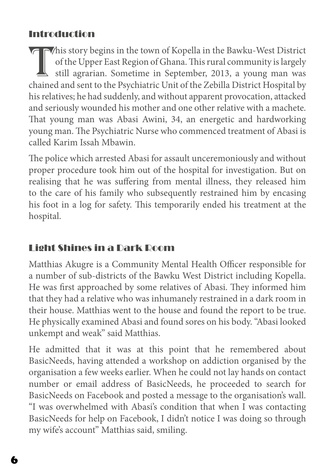# Introduction

This story begins in the town of Kopella in the Bawku-West District of the Upper East Region of Ghana. This rural community is largely still agrarian. Sometime in September, 2013, a young man was chained and sent to the Ps of the Upper East Region of Ghana. This rural community is largely still agrarian. Sometime in September, 2013, a young man was chained and sent to the Psychiatric Unit of the Zebilla District Hospital by his relatives; he had suddenly, and without apparent provocation, attacked and seriously wounded his mother and one other relative with a machete. That young man was Abasi Awini, 34, an energetic and hardworking young man. The Psychiatric Nurse who commenced treatment of Abasi is called Karim Issah Mbawin.

The police which arrested Abasi for assault unceremoniously and without proper procedure took him out of the hospital for investigation. But on realising that he was suffering from mental illness, they released him to the care of his family who subsequently restrained him by encasing his foot in a log for safety. This temporarily ended his treatment at the hospital.

# Light Shines in a Dark Room

Matthias Akugre is a Community Mental Health Officer responsible for a number of sub-districts of the Bawku West District including Kopella. He was first approached by some relatives of Abasi. They informed him that they had a relative who was inhumanely restrained in a dark room in their house. Matthias went to the house and found the report to be true. He physically examined Abasi and found sores on his body. "Abasi looked unkempt and weak" said Matthias.

He admitted that it was at this point that he remembered about BasicNeeds, having attended a workshop on addiction organised by the organisation a few weeks earlier. When he could not lay hands on contact number or email address of BasicNeeds, he proceeded to search for BasicNeeds on Facebook and posted a message to the organisation's wall. "I was overwhelmed with Abasi's condition that when I was contacting BasicNeeds for help on Facebook, I didn't notice I was doing so through my wife's account" Matthias said, smiling.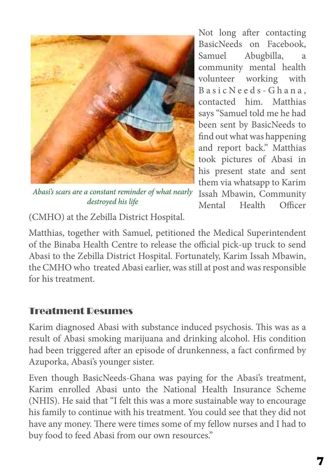

*Abasi's scars are a constant reminder of what nearly destroyed his life*

Not long after contacting BasicNeeds on Facebook, Samuel Abugbilla, a community mental health volunteer working with Basic Needs - Ghana, contacted him. Matthias says "Samuel told me he had been sent by BasicNeeds to find out what was happening and report back." Matthias took pictures of Abasi in his present state and sent them via whatsapp to Karim Issah Mbawin, Community Mental Health Officer

(CMHO) at the Zebilla District Hospital.

Matthias, together with Samuel, petitioned the Medical Superintendent of the Binaba Health Centre to release the official pick-up truck to send Abasi to the Zebilla District Hospital. Fortunately, Karim Issah Mbawin, the CMHO who treated Abasi earlier, was still at post and was responsible for his treatment.

## Treatment Resumes

Karim diagnosed Abasi with substance induced psychosis. This was as a result of Abasi smoking marijuana and drinking alcohol. His condition had been triggered after an episode of drunkenness, a fact confirmed by Azuporka, Abasi's younger sister.

Even though BasicNeeds-Ghana was paying for the Abasi's treatment, Karim enrolled Abasi unto the National Health Insurance Scheme (NHIS). He said that "I felt this was a more sustainable way to encourage his family to continue with his treatment. You could see that they did not have any money. There were times some of my fellow nurses and I had to buy food to feed Abasi from our own resources."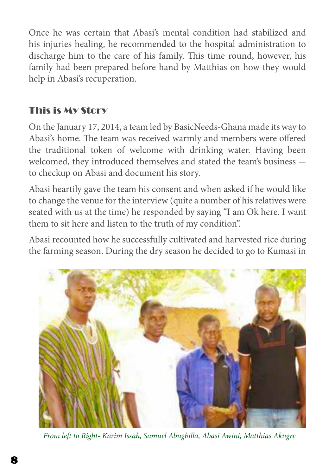Once he was certain that Abasi's mental condition had stabilized and his injuries healing, he recommended to the hospital administration to discharge him to the care of his family. This time round, however, his family had been prepared before hand by Matthias on how they would help in Abasi's recuperation.

# This is My Story

On the January 17, 2014, a team led by BasicNeeds-Ghana made its way to Abasi's home. The team was received warmly and members were offered the traditional token of welcome with drinking water. Having been welcomed, they introduced themselves and stated the team's business to checkup on Abasi and document his story.

Abasi heartily gave the team his consent and when asked if he would like to change the venue for the interview (quite a number of his relatives were seated with us at the time) he responded by saying "I am Ok here. I want them to sit here and listen to the truth of my condition".

Abasi recounted how he successfully cultivated and harvested rice during the farming season. During the dry season he decided to go to Kumasi in



*From left to Right- Karim Issah, Samuel Abugbilla, Abasi Awini, Matthias Akugre*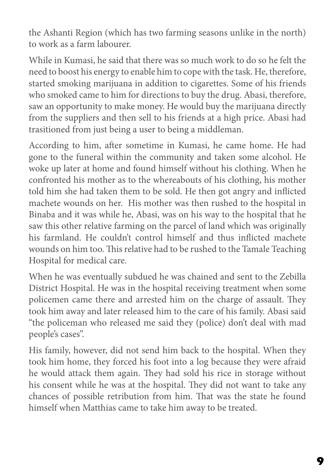the Ashanti Region (which has two farming seasons unlike in the north) to work as a farm labourer.

While in Kumasi, he said that there was so much work to do so he felt the need to boost his energy to enable him to cope with the task. He, therefore, started smoking marijuana in addition to cigarettes. Some of his friends who smoked came to him for directions to buy the drug. Abasi, therefore, saw an opportunity to make money. He would buy the marijuana directly from the suppliers and then sell to his friends at a high price. Abasi had trasitioned from just being a user to being a middleman.

According to him, after sometime in Kumasi, he came home. He had gone to the funeral within the community and taken some alcohol. He woke up later at home and found himself without his clothing. When he confronted his mother as to the whereabouts of his clothing, his mother told him she had taken them to be sold. He then got angry and inflicted machete wounds on her. His mother was then rushed to the hospital in Binaba and it was while he, Abasi, was on his way to the hospital that he saw this other relative farming on the parcel of land which was originally his farmland. He couldn't control himself and thus inflicted machete wounds on him too. This relative had to be rushed to the Tamale Teaching Hospital for medical care.

When he was eventually subdued he was chained and sent to the Zebilla District Hospital. He was in the hospital receiving treatment when some policemen came there and arrested him on the charge of assault. They took him away and later released him to the care of his family. Abasi said "the policeman who released me said they (police) don't deal with mad people's cases".

His family, however, did not send him back to the hospital. When they took him home, they forced his foot into a log because they were afraid he would attack them again. They had sold his rice in storage without his consent while he was at the hospital. They did not want to take any chances of possible retribution from him. That was the state he found himself when Matthias came to take him away to be treated.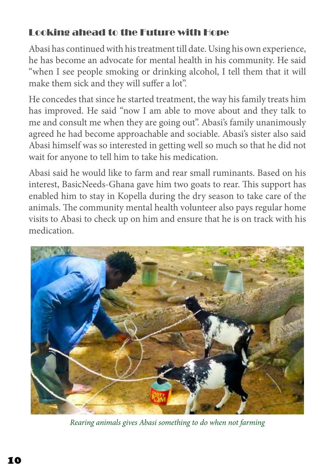# Looking ahead to the Future with Hope

Abasi has continued with his treatment till date. Using his own experience, he has become an advocate for mental health in his community. He said "when I see people smoking or drinking alcohol, I tell them that it will make them sick and they will suffer a lot".

He concedes that since he started treatment, the way his family treats him has improved. He said "now I am able to move about and they talk to me and consult me when they are going out". Abasi's family unanimously agreed he had become approachable and sociable. Abasi's sister also said Abasi himself was so interested in getting well so much so that he did not wait for anyone to tell him to take his medication.

Abasi said he would like to farm and rear small ruminants. Based on his interest, BasicNeeds-Ghana gave him two goats to rear. This support has enabled him to stay in Kopella during the dry season to take care of the animals. The community mental health volunteer also pays regular home visits to Abasi to check up on him and ensure that he is on track with his medication.



*Rearing animals gives Abasi something to do when not farming*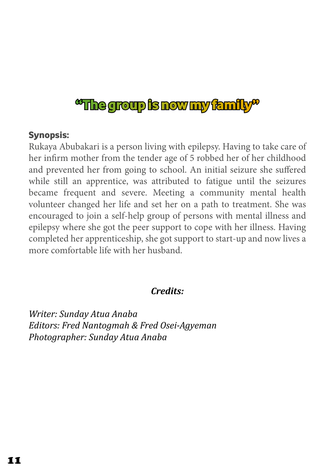# "The group is now my family"

### Synopsis:

Rukaya Abubakari is a person living with epilepsy. Having to take care of her infirm mother from the tender age of 5 robbed her of her childhood and prevented her from going to school. An initial seizure she suffered while still an apprentice, was attributed to fatigue until the seizures became frequent and severe. Meeting a community mental health volunteer changed her life and set her on a path to treatment. She was encouraged to join a self-help group of persons with mental illness and epilepsy where she got the peer support to cope with her illness. Having completed her apprenticeship, she got support to start-up and now lives a more comfortable life with her husband.

## *Credits:*

*Writer: Sunday Atua Anaba Editors: Fred Nantogmah & Fred Osei-Agyeman Photographer: Sunday Atua Anaba*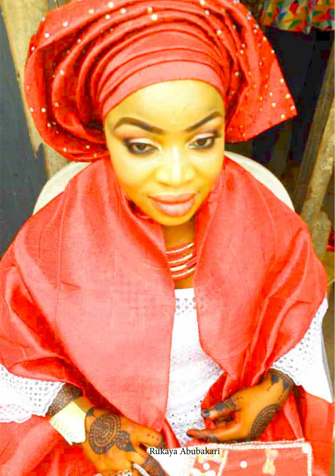Rukaya Abubakari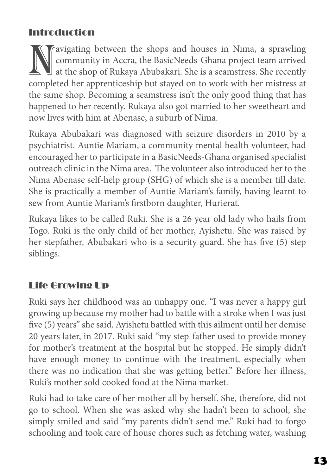# Introduction

Navigating between the shops and houses in Nima, a sprawling<br>community in Accra, the BasicNeeds-Ghana project team arrived<br>at the shop of Rukaya Abubakari. She is a seamstress. She recently<br>completed her apprenticeship but community in Accra, the BasicNeeds-Ghana project team arrived at the shop of Rukaya Abubakari. She is a seamstress. She recently completed her apprenticeship but stayed on to work with her mistress at the same shop. Becoming a seamstress isn't the only good thing that has happened to her recently. Rukaya also got married to her sweetheart and now lives with him at Abenase, a suburb of Nima.

Rukaya Abubakari was diagnosed with seizure disorders in 2010 by a psychiatrist. Auntie Mariam, a community mental health volunteer, had encouraged her to participate in a BasicNeeds-Ghana organised specialist outreach clinic in the Nima area. The volunteer also introduced her to the Nima Abenase self-help group (SHG) of which she is a member till date. She is practically a member of Auntie Mariam's family, having learnt to sew from Auntie Mariam's firstborn daughter, Hurierat.

Rukaya likes to be called Ruki. She is a 26 year old lady who hails from Togo. Ruki is the only child of her mother, Ayishetu. She was raised by her stepfather, Abubakari who is a security guard. She has five (5) step siblings.

# Life Growing Up

Ruki says her childhood was an unhappy one. "I was never a happy girl growing up because my mother had to battle with a stroke when I was just five (5) years" she said. Ayishetu battled with this ailment until her demise 20 years later, in 2017. Ruki said "my step-father used to provide money for mother's treatment at the hospital but he stopped. He simply didn't have enough money to continue with the treatment, especially when there was no indication that she was getting better." Before her illness, Ruki's mother sold cooked food at the Nima market.

Ruki had to take care of her mother all by herself. She, therefore, did not go to school. When she was asked why she hadn't been to school, she simply smiled and said "my parents didn't send me." Ruki had to forgo schooling and took care of house chores such as fetching water, washing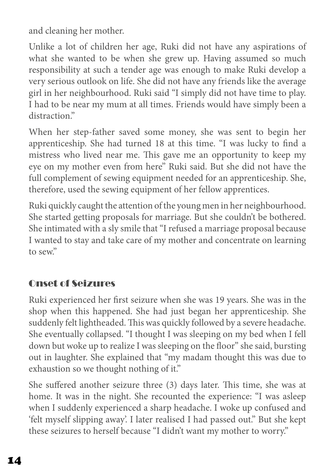and cleaning her mother.

Unlike a lot of children her age, Ruki did not have any aspirations of what she wanted to be when she grew up. Having assumed so much responsibility at such a tender age was enough to make Ruki develop a very serious outlook on life. She did not have any friends like the average girl in her neighbourhood. Ruki said "I simply did not have time to play. I had to be near my mum at all times. Friends would have simply been a distraction."

When her step-father saved some money, she was sent to begin her apprenticeship. She had turned 18 at this time. "I was lucky to find a mistress who lived near me. This gave me an opportunity to keep my eye on my mother even from here" Ruki said. But she did not have the full complement of sewing equipment needed for an apprenticeship. She, therefore, used the sewing equipment of her fellow apprentices.

Ruki quickly caught the attention of the young men in her neighbourhood. She started getting proposals for marriage. But she couldn't be bothered. She intimated with a sly smile that "I refused a marriage proposal because I wanted to stay and take care of my mother and concentrate on learning to sew."

# Onset of Seizures

Ruki experienced her first seizure when she was 19 years. She was in the shop when this happened. She had just began her apprenticeship. She suddenly felt lightheaded. This was quickly followed by a severe headache. She eventually collapsed. "I thought I was sleeping on my bed when I fell down but woke up to realize I was sleeping on the floor" she said, bursting out in laughter. She explained that "my madam thought this was due to exhaustion so we thought nothing of it."

She suffered another seizure three (3) days later. This time, she was at home. It was in the night. She recounted the experience: "I was asleep when I suddenly experienced a sharp headache. I woke up confused and 'felt myself slipping away'. I later realised I had passed out." But she kept these seizures to herself because "I didn't want my mother to worry."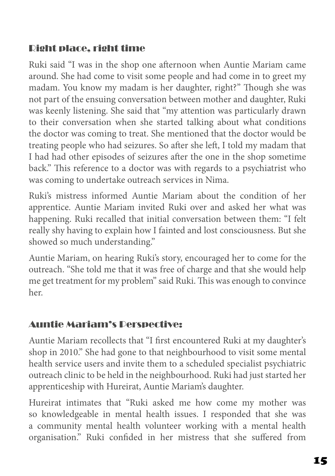# Right place, right time

Ruki said "I was in the shop one afternoon when Auntie Mariam came around. She had come to visit some people and had come in to greet my madam. You know my madam is her daughter, right?" Though she was not part of the ensuing conversation between mother and daughter, Ruki was keenly listening. She said that "my attention was particularly drawn to their conversation when she started talking about what conditions the doctor was coming to treat. She mentioned that the doctor would be treating people who had seizures. So after she left, I told my madam that I had had other episodes of seizures after the one in the shop sometime back." This reference to a doctor was with regards to a psychiatrist who was coming to undertake outreach services in Nima.

Ruki's mistress informed Auntie Mariam about the condition of her apprentice. Auntie Mariam invited Ruki over and asked her what was happening. Ruki recalled that initial conversation between them: "I felt really shy having to explain how I fainted and lost consciousness. But she showed so much understanding."

Auntie Mariam, on hearing Ruki's story, encouraged her to come for the outreach. "She told me that it was free of charge and that she would help me get treatment for my problem" said Ruki. This was enough to convince her.

# Auntie Mariam's Perspective:

Auntie Mariam recollects that "I first encountered Ruki at my daughter's shop in 2010." She had gone to that neighbourhood to visit some mental health service users and invite them to a scheduled specialist psychiatric outreach clinic to be held in the neighbourhood. Ruki had just started her apprenticeship with Hureirat, Auntie Mariam's daughter.

Hureirat intimates that "Ruki asked me how come my mother was so knowledgeable in mental health issues. I responded that she was a community mental health volunteer working with a mental health organisation." Ruki confided in her mistress that she suffered from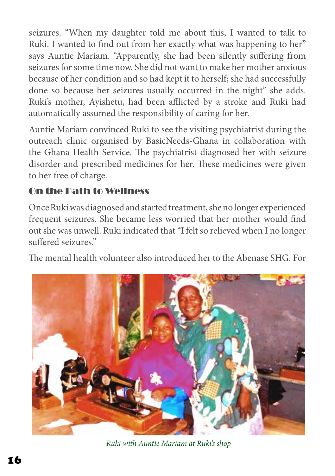seizures. "When my daughter told me about this, I wanted to talk to Ruki. I wanted to find out from her exactly what was happening to her" says Auntie Mariam. "Apparently, she had been silently suffering from seizures for some time now. She did not want to make her mother anxious because of her condition and so had kept it to herself; she had successfully done so because her seizures usually occurred in the night" she adds. Ruki's mother, Ayishetu, had been afflicted by a stroke and Ruki had automatically assumed the responsibility of caring for her.

Auntie Mariam convinced Ruki to see the visiting psychiatrist during the outreach clinic organised by BasicNeeds-Ghana in collaboration with the Ghana Health Service. The psychiatrist diagnosed her with seizure disorder and prescribed medicines for her. These medicines were given to her free of charge.

# On the Path to Wellness

Once Ruki was diagnosed and started treatment, she no longer experienced frequent seizures. She became less worried that her mother would find out she was unwell. Ruki indicated that "I felt so relieved when I no longer suffered seizures."

The mental health volunteer also introduced her to the Abenase SHG. For



*Ruki with Auntie Mariam at Ruki's shop*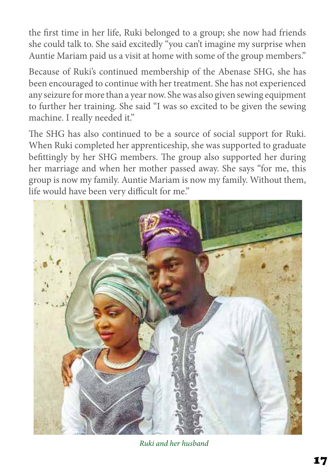the first time in her life, Ruki belonged to a group; she now had friends she could talk to. She said excitedly "you can't imagine my surprise when Auntie Mariam paid us a visit at home with some of the group members."

Because of Ruki's continued membership of the Abenase SHG, she has been encouraged to continue with her treatment. She has not experienced any seizure for more than a year now. She was also given sewing equipment to further her training. She said "I was so excited to be given the sewing machine. I really needed it."

The SHG has also continued to be a source of social support for Ruki. When Ruki completed her apprenticeship, she was supported to graduate befittingly by her SHG members. The group also supported her during her marriage and when her mother passed away. She says "for me, this group is now my family. Auntie Mariam is now my family. Without them, life would have been very difficult for me."



*Ruki and her husband*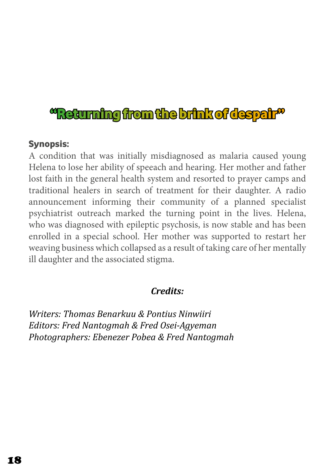# "Returning from the brink of despair"

#### Synopsis:

A condition that was initially misdiagnosed as malaria caused young Helena to lose her ability of speeach and hearing. Her mother and father lost faith in the general health system and resorted to prayer camps and traditional healers in search of treatment for their daughter. A radio announcement informing their community of a planned specialist psychiatrist outreach marked the turning point in the lives. Helena, who was diagnosed with epileptic psychosis, is now stable and has been enrolled in a special school. Her mother was supported to restart her weaving business which collapsed as a result of taking care of her mentally ill daughter and the associated stigma.

#### *Credits:*

*Writers: Thomas Benarkuu & Pontius Ninwiiri Editors: Fred Nantogmah & Fred Osei-Agyeman Photographers: Ebenezer Pobea & Fred Nantogmah*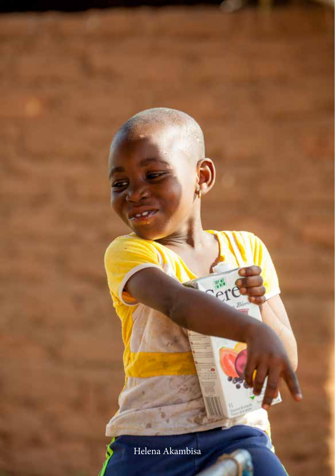Helena Akambisa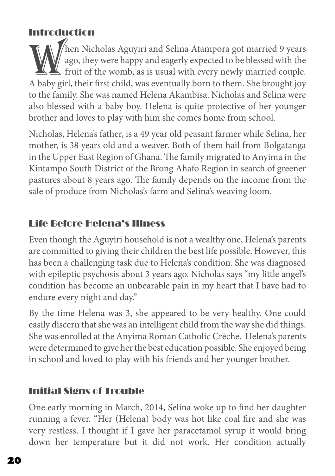## Introduction

When Nicholas Aguyiri and Selina Atampora got married 9 years<br>ago, they were happy and eagerly expected to be blessed with the<br>fruit of the womb, as is usual with every newly married couple.<br>A baby girl their first child w ago, they were happy and eagerly expected to be blessed with the  $\blacktriangle$  fruit of the womb, as is usual with every newly married couple. A baby girl, their first child, was eventually born to them. She brought joy to the family. She was named Helena Akambisa. Nicholas and Selina were also blessed with a baby boy. Helena is quite protective of her younger brother and loves to play with him she comes home from school.

Nicholas, Helena's father, is a 49 year old peasant farmer while Selina, her mother, is 38 years old and a weaver. Both of them hail from Bolgatanga in the Upper East Region of Ghana. The family migrated to Anyima in the Kintampo South District of the Brong Ahafo Region in search of greener pastures about 8 years ago. The family depends on the income from the sale of produce from Nicholas's farm and Selina's weaving loom.

# Life Before Helena's Illness

Even though the Aguyiri household is not a wealthy one, Helena's parents are committed to giving their children the best life possible. However, this has been a challenging task due to Helena's condition. She was diagnosed with epileptic psychosis about 3 years ago. Nicholas says "my little angel's condition has become an unbearable pain in my heart that I have had to endure every night and day."

By the time Helena was 3, she appeared to be very healthy. One could easily discern that she was an intelligent child from the way she did things. She was enrolled at the Anyima Roman Catholic Crèche. Helena's parents were determined to give her the best education possible. She enjoyed being in school and loved to play with his friends and her younger brother.

# Initial Signs of Trouble

One early morning in March, 2014, Selina woke up to find her daughter running a fever. "Her (Helena) body was hot like coal fire and she was very restless. I thought if I gave her paracetamol syrup it would bring down her temperature but it did not work. Her condition actually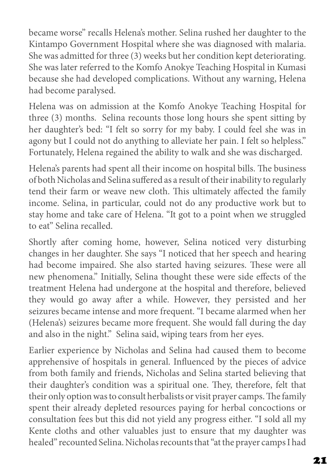became worse" recalls Helena's mother. Selina rushed her daughter to the Kintampo Government Hospital where she was diagnosed with malaria. She was admitted for three (3) weeks but her condition kept deteriorating. She was later referred to the Komfo Anokye Teaching Hospital in Kumasi because she had developed complications. Without any warning, Helena had become paralysed.

Helena was on admission at the Komfo Anokye Teaching Hospital for three (3) months. Selina recounts those long hours she spent sitting by her daughter's bed: "I felt so sorry for my baby. I could feel she was in agony but I could not do anything to alleviate her pain. I felt so helpless." Fortunately, Helena regained the ability to walk and she was discharged.

Helena's parents had spent all their income on hospital bills. The business of both Nicholas and Selina suffered as a result of their inability to regularly tend their farm or weave new cloth. This ultimately affected the family income. Selina, in particular, could not do any productive work but to stay home and take care of Helena. "It got to a point when we struggled to eat" Selina recalled.

Shortly after coming home, however, Selina noticed very disturbing changes in her daughter. She says "I noticed that her speech and hearing had become impaired. She also started having seizures. These were all new phenomena." Initially, Selina thought these were side effects of the treatment Helena had undergone at the hospital and therefore, believed they would go away after a while. However, they persisted and her seizures became intense and more frequent. "I became alarmed when her (Helena's) seizures became more frequent. She would fall during the day and also in the night." Selina said, wiping tears from her eyes.

Earlier experience by Nicholas and Selina had caused them to become apprehensive of hospitals in general. Influenced by the pieces of advice from both family and friends, Nicholas and Selina started believing that their daughter's condition was a spiritual one. They, therefore, felt that their only option was to consult herbalists or visit prayer camps. The family spent their already depleted resources paying for herbal concoctions or consultation fees but this did not yield any progress either. "I sold all my Kente cloths and other valuables just to ensure that my daughter was healed" recounted Selina. Nicholas recounts that "at the prayer camps I had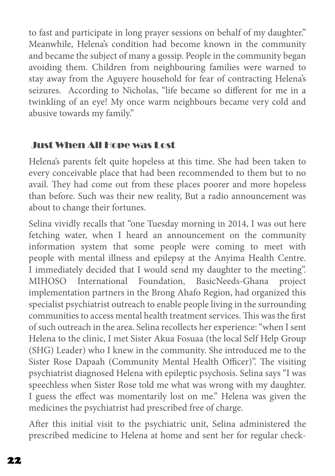to fast and participate in long prayer sessions on behalf of my daughter." Meanwhile, Helena's condition had become known in the community and became the subject of many a gossip. People in the community began avoiding them. Children from neighbouring families were warned to stay away from the Aguyere household for fear of contracting Helena's seizures. According to Nicholas, "life became so different for me in a twinkling of an eye! My once warm neighbours became very cold and abusive towards my family."

## Just When All Hope was Lost

Helena's parents felt quite hopeless at this time. She had been taken to every conceivable place that had been recommended to them but to no avail. They had come out from these places poorer and more hopeless than before. Such was their new reality, But a radio announcement was about to change their fortunes.

Selina vividly recalls that "one Tuesday morning in 2014, I was out here fetching water, when I heard an announcement on the community information system that some people were coming to meet with people with mental illness and epilepsy at the Anyima Health Centre. I immediately decided that I would send my daughter to the meeting". MIHOSO International Foundation, BasicNeeds-Ghana project implementation partners in the Brong Ahafo Region, had organized this specialist psychiatrist outreach to enable people living in the surrounding communities to access mental health treatment services. This was the first of such outreach in the area. Selina recollects her experience: "when I sent Helena to the clinic, I met Sister Akua Fosuaa (the local Self Help Group (SHG) Leader) who I knew in the community. She introduced me to the Sister Rose Dapaah (Community Mental Health Officer)". The visiting psychiatrist diagnosed Helena with epileptic psychosis. Selina says "I was speechless when Sister Rose told me what was wrong with my daughter. I guess the effect was momentarily lost on me." Helena was given the medicines the psychiatrist had prescribed free of charge.

After this initial visit to the psychiatric unit, Selina administered the prescribed medicine to Helena at home and sent her for regular check-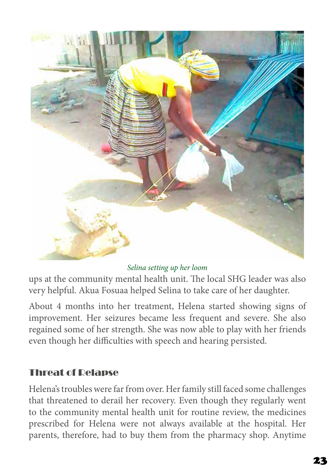

#### *Selina setting up her loom*

ups at the community mental health unit. The local SHG leader was also very helpful. Akua Fosuaa helped Selina to take care of her daughter.

About 4 months into her treatment, Helena started showing signs of improvement. Her seizures became less frequent and severe. She also regained some of her strength. She was now able to play with her friends even though her difficulties with speech and hearing persisted.

#### Threat of Relapse

Helena's troubles were far from over. Her family still faced some challenges that threatened to derail her recovery. Even though they regularly went to the community mental health unit for routine review, the medicines prescribed for Helena were not always available at the hospital. Her parents, therefore, had to buy them from the pharmacy shop. Anytime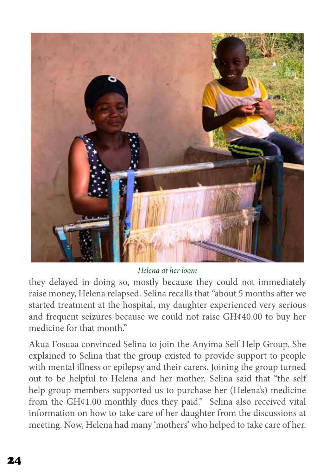

*Helena at her loom*

they delayed in doing so, mostly because they could not immediately raise money, Helena relapsed. Selina recalls that "about 5 months after we started treatment at the hospital, my daughter experienced very serious and frequent seizures because we could not raise GH¢40.00 to buy her medicine for that month"

Akua Fosuaa convinced Selina to join the Anyima Self Help Group. She explained to Selina that the group existed to provide support to people with mental illness or epilepsy and their carers. Joining the group turned out to be helpful to Helena and her mother. Selina said that "the self help group members supported us to purchase her (Helena's) medicine from the GH¢1.00 monthly dues they paid." Selina also received vital information on how to take care of her daughter from the discussions at meeting. Now, Helena had many 'mothers' who helped to take care of her.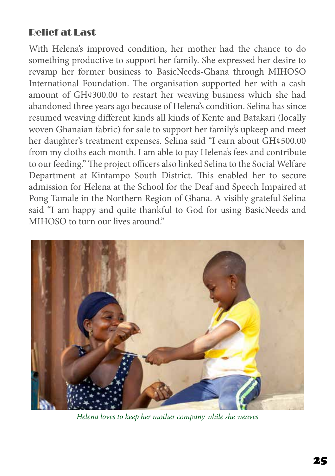# Relief at Last

With Helena's improved condition, her mother had the chance to do something productive to support her family. She expressed her desire to revamp her former business to BasicNeeds-Ghana through MIHOSO International Foundation. The organisation supported her with a cash amount of GH¢300.00 to restart her weaving business which she had abandoned three years ago because of Helena's condition. Selina has since resumed weaving different kinds all kinds of Kente and Batakari (locally woven Ghanaian fabric) for sale to support her family's upkeep and meet her daughter's treatment expenses. Selina said "I earn about GH¢500.00 from my cloths each month. I am able to pay Helena's fees and contribute to our feeding." The project officers also linked Selina to the Social Welfare Department at Kintampo South District. This enabled her to secure admission for Helena at the School for the Deaf and Speech Impaired at Pong Tamale in the Northern Region of Ghana. A visibly grateful Selina said "I am happy and quite thankful to God for using BasicNeeds and MIHOSO to turn our lives around."



*Helena loves to keep her mother company while she weaves*